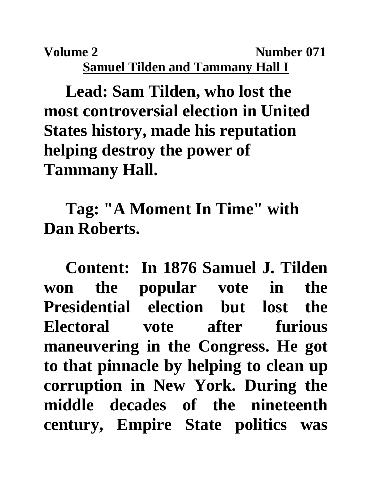**Volume 2** Number 071 **Samuel Tilden and Tammany Hall I**

**Lead: Sam Tilden, who lost the most controversial election in United States history, made his reputation helping destroy the power of Tammany Hall.** 

**Tag: "A Moment In Time" with Dan Roberts.**

**Content: In 1876 Samuel J. Tilden won the popular vote in the Presidential election but lost the Electoral vote after furious maneuvering in the Congress. He got to that pinnacle by helping to clean up corruption in New York. During the middle decades of the nineteenth century, Empire State politics was**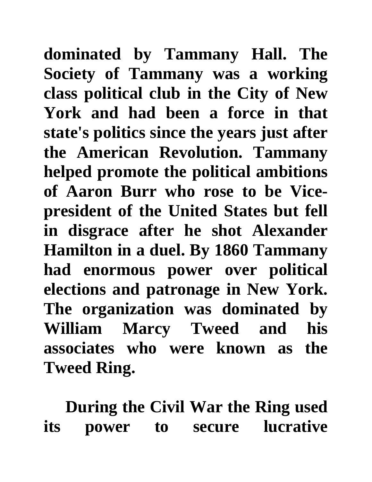**dominated by Tammany Hall. The Society of Tammany was a working class political club in the City of New York and had been a force in that state's politics since the years just after the American Revolution. Tammany helped promote the political ambitions of Aaron Burr who rose to be Vicepresident of the United States but fell in disgrace after he shot Alexander Hamilton in a duel. By 1860 Tammany had enormous power over political elections and patronage in New York. The organization was dominated by William Marcy Tweed and his associates who were known as the Tweed Ring.**

**During the Civil War the Ring used its power to secure lucrative**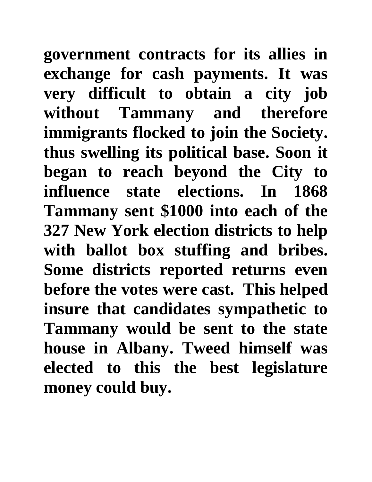**government contracts for its allies in exchange for cash payments. It was very difficult to obtain a city job without Tammany and therefore immigrants flocked to join the Society. thus swelling its political base. Soon it began to reach beyond the City to influence state elections. In 1868 Tammany sent \$1000 into each of the 327 New York election districts to help with ballot box stuffing and bribes. Some districts reported returns even before the votes were cast. This helped insure that candidates sympathetic to Tammany would be sent to the state house in Albany. Tweed himself was elected to this the best legislature money could buy.**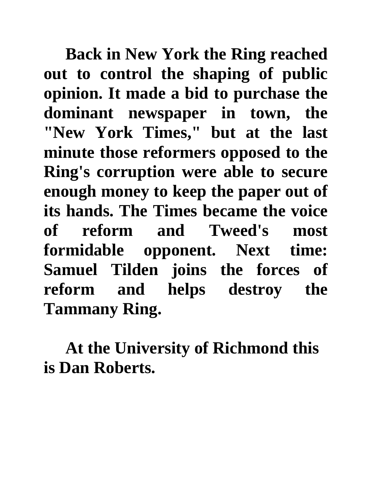**Back in New York the Ring reached out to control the shaping of public opinion. It made a bid to purchase the dominant newspaper in town, the "New York Times," but at the last minute those reformers opposed to the Ring's corruption were able to secure enough money to keep the paper out of its hands. The Times became the voice of reform and Tweed's most formidable opponent. Next time: Samuel Tilden joins the forces of reform and helps destroy the Tammany Ring.**

**At the University of Richmond this is Dan Roberts.**